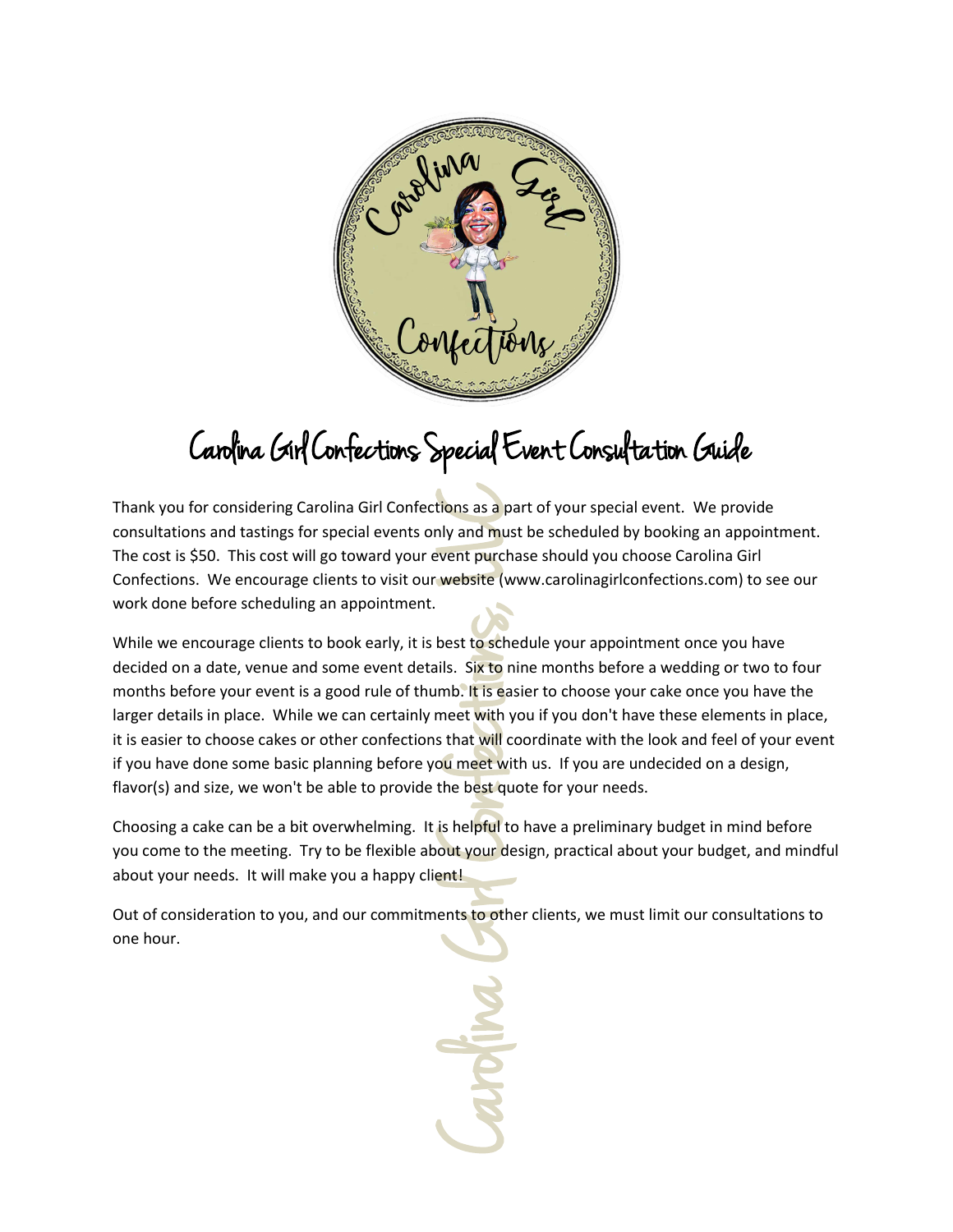

# Carolina Girl Confections Special Event Consultation Guide

 work done before scheduling an appointment. Thank you for considering Carolina Girl Confections as a part of your special event. We provide consultations and tastings for special events only and must be scheduled by booking an appointment. The cost is \$50. This cost will go toward your event purchase should you choose Carolina Girl Confections. We encourage clients to visit our website (www.carolinagirlconfections.com) to see our

While we encourage clients to book early, it is best to schedule your appointment once you have decided on a date, venue and some event details. Six to nine months before a wedding or two to four months before your event is a good rule of thumb. It is easier to choose your cake once you have the larger details in place. While we can certainly meet with you if you don't have these elements in place, it is easier to choose cakes or other confections that will coordinate with the look and feel of your event if you have done some basic planning before you meet with us. If you are undecided on a design, flavor(s) and size, we won't be able to provide the best quote for your needs.

Choosing a cake can be a bit overwhelming. It is helpful to have a preliminary budget in mind before you come to the meeting. Try to be flexible about your design, practical about your budget, and mindful about your needs. It will make you a happy client!

Out of consideration to you, and our commitments to other clients, we must limit our consultations to one hour.

tions as a particular and must<br>vent purcha website (w<br>best to sche lils. Six to n<br>mb. It is ease meet with y<br>s that will cour meet with the best quality<br>is helpful to<br>ent!<br>ents to other with the best quality our deeptiful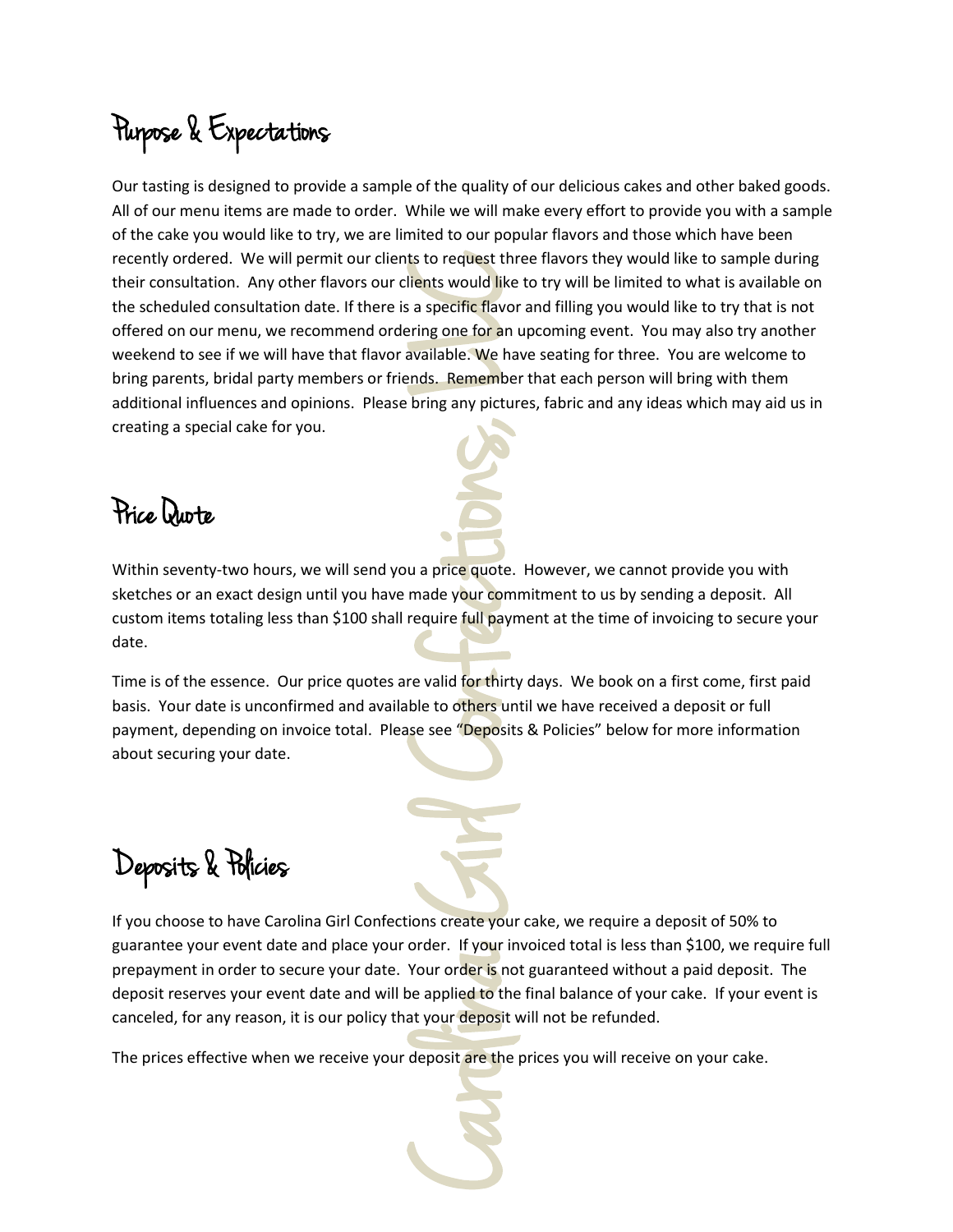### Purpose & Expectations

International Conference to the conference that a specific flavor international like a specific flavor ring one for an underlying any picture hands. Remember bring any picture full paym<br>require full paym require full paym Our tasting is designed to provide a sample of the quality of our delicious cakes and other baked goods. All of our menu items are made to order. While we will make every effort to provide you with a sample of the cake you would like to try, we are limited to our popular flavors and those which have been recently ordered. We will permit our clients to request three flavors they would like to sample during their consultation. Any other flavors our clients would like to try will be limited to what is available on the scheduled consultation date. If there is a specific flavor and filling you would like to try that is not offered on our menu, we recommend ordering one for an upcoming event. You may also try another weekend to see if we will have that flavor available. We have seating for three. You are welcome to bring parents, bridal party members or friends. Remember that each person will bring with them additional influences and opinions. Please bring any pictures, fabric and any ideas which may aid us in creating a special cake for you.

#### Price Quote

Within seventy-two hours, we will send you a price quote. However, we cannot provide you with sketches or an exact design until you have made your commitment to us by sending a deposit. All custom items totaling less than \$100 shall require full payment at the time of invoicing to secure your date.

Time is of the essence. Our price quotes are valid for thirty days. We book on a first come, first paid basis. Your date is unconfirmed and available to others until we have received a deposit or full payment, depending on invoice total. Please see "Deposits & Policies" below for more information about securing your date.

Deposits & Policies

If you choose to have Carolina Girl Confections create your cake, we require a deposit of 50% to guarantee your event date and place your order. If your invoiced total is less than \$100, we require full prepayment in order to secure your date. Your order is not guaranteed without a paid deposit. The deposit reserves your event date and will be applied to the final balance of your cake. If your event is canceled, for any reason, it is our policy that your deposit will not be refunded.

The prices effective when we receive your deposit are the prices you will receive on your cake.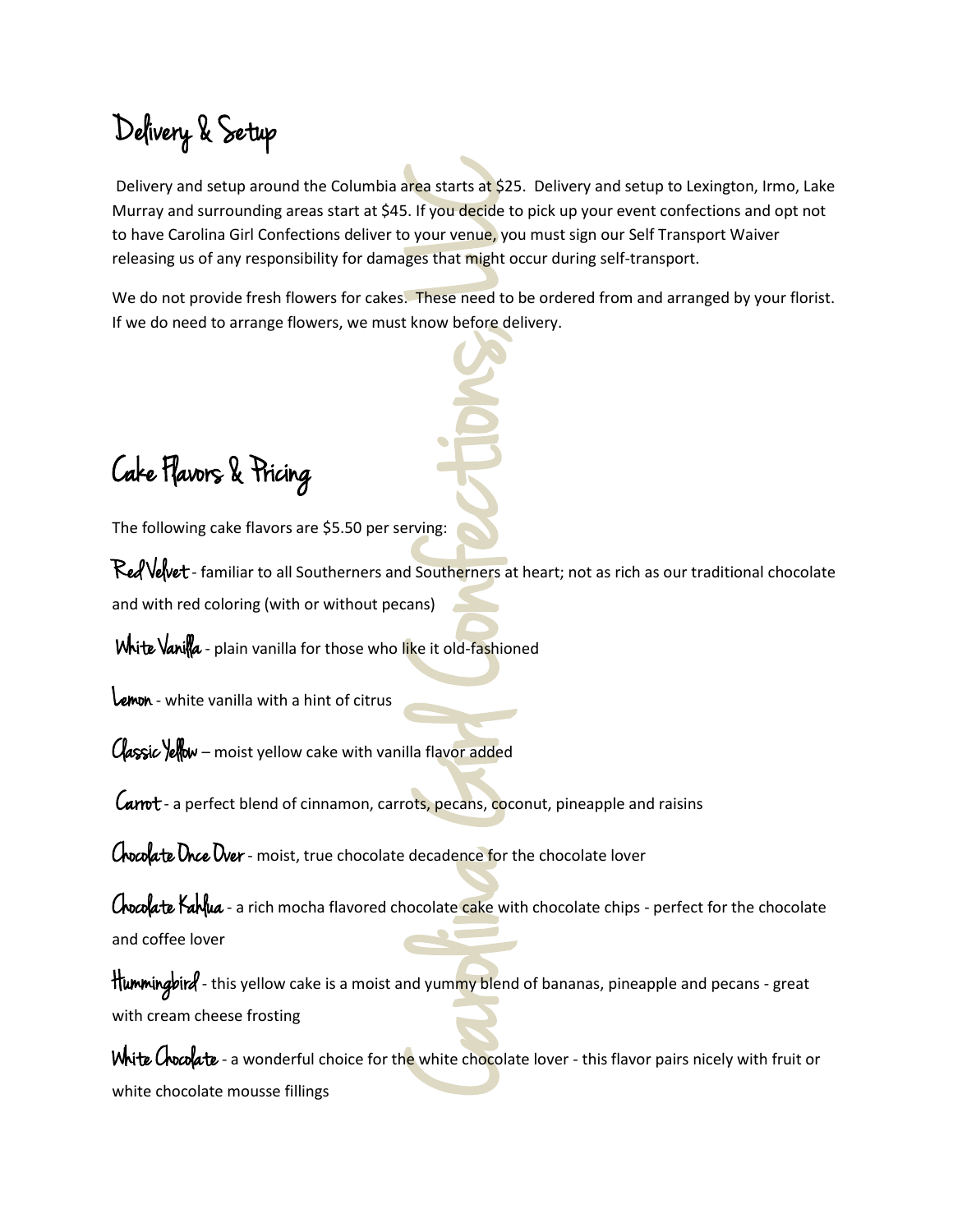# Delivery & Setup

Free starts at \$25<br>
Carolina Girl Conference to your venue, your venue, your venue, your venue, your character of the start of the start of the start of the start of the start of the start of the start of the start of the Delivery and setup around the Columbia area starts at \$25. Delivery and setup to Lexington, Irmo, Lake Murray and surrounding areas start at \$45. If you decide to pick up your event confections and opt not to have Carolina Girl Confections deliver to your venue, you must sign our Self Transport Waiver releasing us of any responsibility for damages that might occur during self-transport.

We do not provide fresh flowers for cakes. These need to be ordered from and arranged by your florist. If we do need to arrange flowers, we must know before delivery.

Cake Flavors & Pricing

The following cake flavors are \$5.50 per serving:

Red Velvet - familiar to all Southerners and Southerners at heart; not as rich as our traditional chocolate and with red coloring (with or without pecans)

White Vanilla - plain vanilla for those who like it old-fashioned

Lemon - white vanilla with a hint of citrus

Classic Yellow – moist yellow cake with vanilla flavor added

Carrot - a perfect blend of cinnamon, carrots, pecans, coconut, pineapple and raisins

Chocolate Once Over - moist, true chocolate decadence for the chocolate lover

Chocolate Kahlua - a rich mocha flavored chocolate cake with chocolate chips - perfect for the chocolate and coffee lover

Hummingbird - this yellow cake is a moist and yummy blend of bananas, pineapple and pecans - great with cream cheese frosting

White Chocolate - a wonderful choice for the white chocolate lover - this flavor pairs nicely with fruit or white chocolate mousse fillings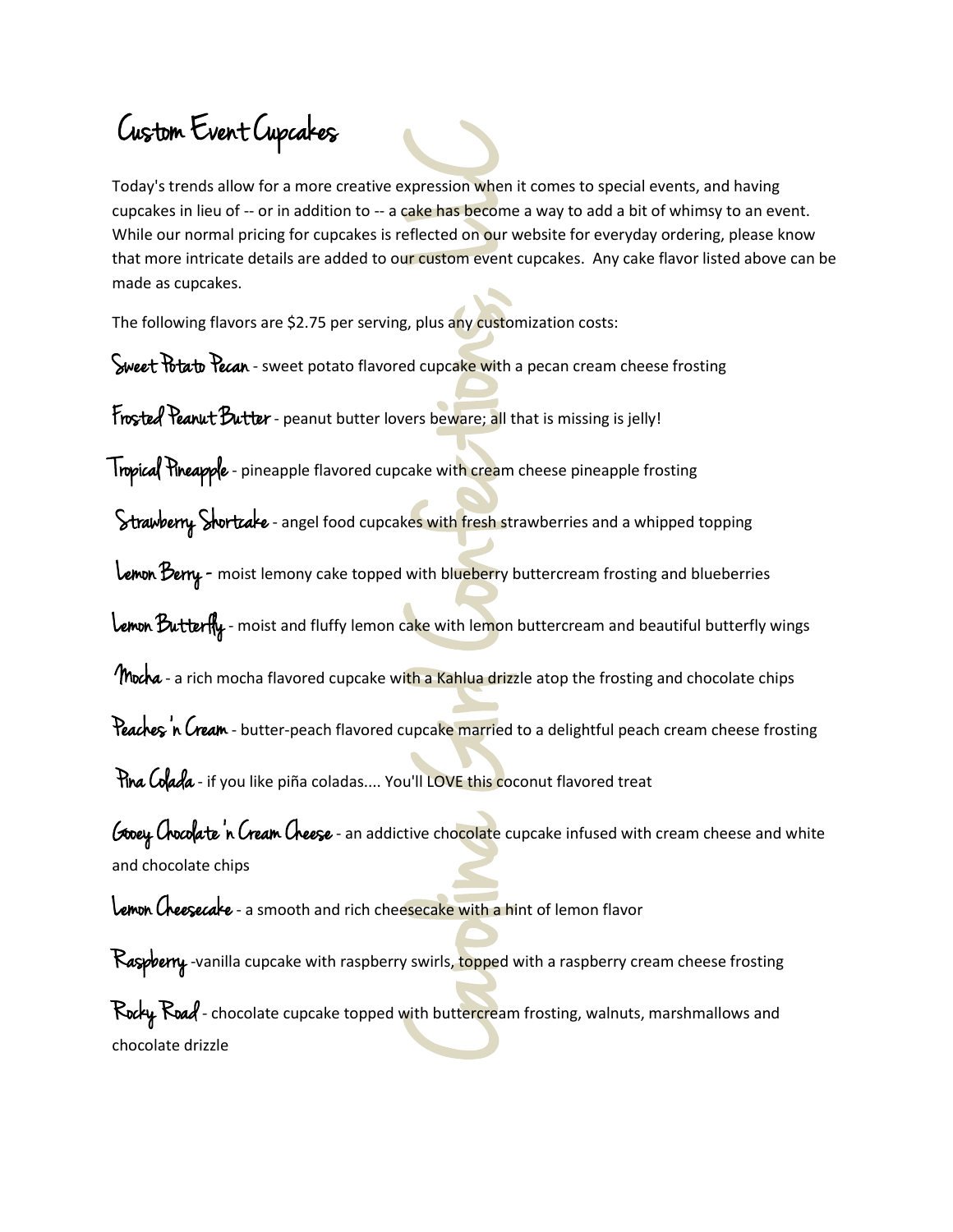#### Custom Event Cupcakes

xpression when<br>eflected on our v<br>ur custom event<br>gradied cupcake with a<br>ers beware; all t<br>cake with cream<br>ess with fresh str<br>with blueberry k<br>ake with lemon<br>th a Kahlua drizz<br>upcake married<br>u'll LOVE this coo<br>tive chocolat Today's trends allow for a more creative expression when it comes to special events, and having cupcakes in lieu of -- or in addition to -- a cake has become a way to add a bit of whimsy to an event. While our normal pricing for cupcakes is reflected on our website for everyday ordering, please know that more intricate details are added to our custom event cupcakes. Any cake flavor listed above can be made as cupcakes.

The following flavors are \$2.75 per serving, plus any customization costs:

Sweet Potato Pecan - sweet potato flavored cupcake with a pecan cream cheese frosting

Frosted Peanut Butter - peanut butter lovers beware; all that is missing is jelly!

Tropical Pineapple - pineapple flavored cupcake with cream cheese pineapple frosting

Strawberry Stortcake - angel food cupcakes with fresh strawberries and a whipped topping

Lemon Berry - moist lemony cake topped with blueberry buttercream frosting and blueberries

Lemon Butterfly- moist and fluffy lemon cake with lemon buttercream and beautiful butterfly wings

Mocha - a rich mocha flavored cupcake with a Kahlua drizzle atop the frosting and chocolate chips

Peaches'n Cream - butter-peach flavored cupcake married to a delightful peach cream cheese frosting

Pina Colada - if you like piña coladas.... You'll LOVE this coconut flavored treat

Gooey Chocolate 'n Cream Cheese - an addictive chocolate cupcake infused with cream cheese and white and chocolate chips

Lemon Cheesecake - a smooth and rich cheesecake with a hint of lemon flavor

Raspberry-vanilla cupcake with raspberry swirls, topped with a raspberry cream cheese frosting Rocky Road - chocolate cupcake topped with buttercream frosting, walnuts, marshmallows and chocolate drizzle